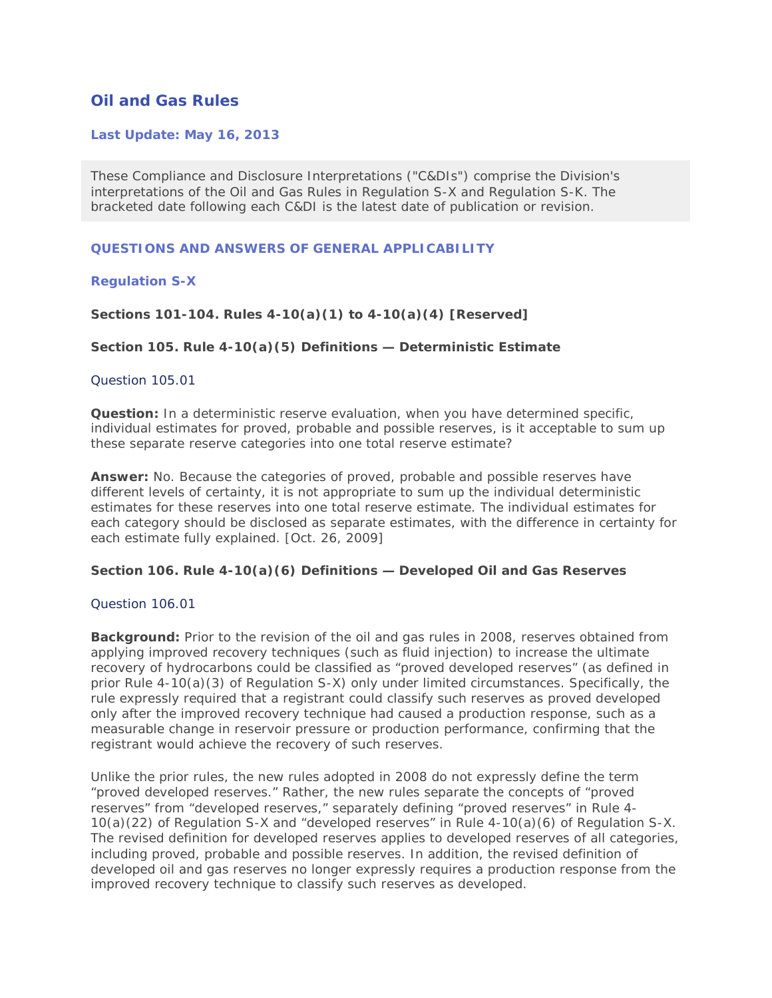# **Oil and Gas Rules**

## **Last Update: May 16, 2013**

These Compliance and Disclosure Interpretations ("C&DIs") comprise the Division's interpretations of the Oil and Gas Rules in Regulation S-X and Regulation S-K. The bracketed date following each C&DI is the latest date of publication or revision.

### **QUESTIONS AND ANSWERS OF GENERAL APPLICABILITY**

## **Regulation S-X**

## **Sections 101-104. Rules 4-10(a)(1) to 4-10(a)(4) [Reserved]**

## **Section 105. Rule 4-10(a)(5) Definitions — Deterministic Estimate**

### Question 105.01

**Question:** In a deterministic reserve evaluation, when you have determined specific, individual estimates for proved, probable and possible reserves, is it acceptable to sum up these separate reserve categories into one total reserve estimate?

**Answer:** No. Because the categories of proved, probable and possible reserves have different levels of certainty, it is not appropriate to sum up the individual deterministic estimates for these reserves into one total reserve estimate. The individual estimates for each category should be disclosed as separate estimates, with the difference in certainty for each estimate fully explained. [Oct. 26, 2009]

### **Section 106. Rule 4-10(a)(6) Definitions — Developed Oil and Gas Reserves**

## Question 106.01

**Background:** Prior to the revision of the oil and gas rules in 2008, reserves obtained from applying improved recovery techniques (such as fluid injection) to increase the ultimate recovery of hydrocarbons could be classified as "proved developed reserves" (as defined in prior Rule 4-10(a)(3) of Regulation S-X) only under limited circumstances. Specifically, the rule expressly required that a registrant could classify such reserves as proved developed only after the improved recovery technique had caused a production response, such as a measurable change in reservoir pressure or production performance, confirming that the registrant would achieve the recovery of such reserves.

Unlike the prior rules, the new rules adopted in 2008 do not expressly define the term "proved developed reserves." Rather, the new rules separate the concepts of "proved reserves" from "developed reserves," separately defining "proved reserves" in Rule 4- 10(a)(22) of Regulation S-X and "developed reserves" in Rule 4-10(a)(6) of Regulation S-X. The revised definition for developed reserves applies to developed reserves of all categories, including proved, probable and possible reserves. In addition, the revised definition of developed oil and gas reserves no longer expressly requires a production response from the improved recovery technique to classify such reserves as developed.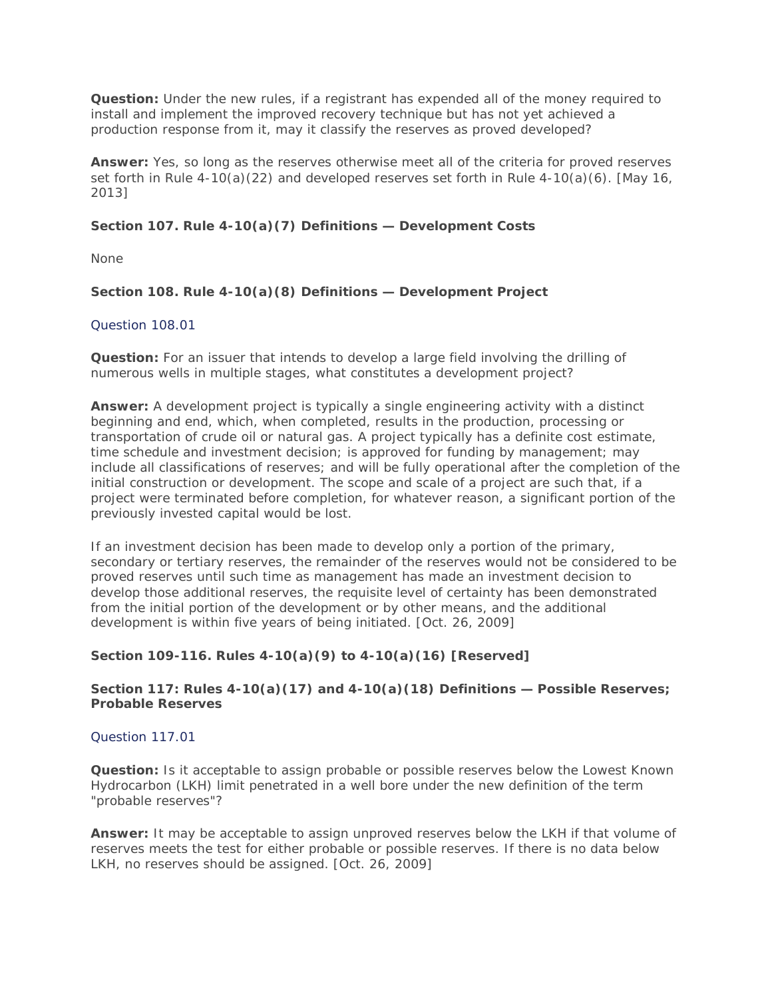**Question:** Under the new rules, if a registrant has expended all of the money required to install and implement the improved recovery technique but has not yet achieved a production response from it, may it classify the reserves as proved developed?

**Answer:** Yes, so long as the reserves otherwise meet all of the criteria for proved reserves set forth in Rule 4-10(a)(22) and developed reserves set forth in Rule 4-10(a)(6). [May 16, 2013]

## **Section 107. Rule 4-10(a)(7) Definitions — Development Costs**

None

## **Section 108. Rule 4-10(a)(8) Definitions — Development Project**

## Question 108.01

**Question:** For an issuer that intends to develop a large field involving the drilling of numerous wells in multiple stages, what constitutes a development project?

**Answer:** A development project is typically a single engineering activity with a distinct beginning and end, which, when completed, results in the production, processing or transportation of crude oil or natural gas. A project typically has a definite cost estimate, time schedule and investment decision; is approved for funding by management; may include all classifications of reserves; and will be fully operational after the completion of the initial construction or development. The scope and scale of a project are such that, if a project were terminated before completion, for whatever reason, a significant portion of the previously invested capital would be lost.

If an investment decision has been made to develop only a portion of the primary, secondary or tertiary reserves, the remainder of the reserves would not be considered to be proved reserves until such time as management has made an investment decision to develop those additional reserves, the requisite level of certainty has been demonstrated from the initial portion of the development or by other means, and the additional development is within five years of being initiated. [Oct. 26, 2009]

## **Section 109-116. Rules 4-10(a)(9) to 4-10(a)(16) [Reserved]**

## **Section 117: Rules 4-10(a)(17) and 4-10(a)(18) Definitions — Possible Reserves; Probable Reserves**

## Question 117.01

**Question:** Is it acceptable to assign probable or possible reserves below the Lowest Known Hydrocarbon (LKH) limit penetrated in a well bore under the new definition of the term "probable reserves"?

**Answer:** It may be acceptable to assign unproved reserves below the LKH if that volume of reserves meets the test for either probable or possible reserves. If there is no data below LKH, no reserves should be assigned. [Oct. 26, 2009]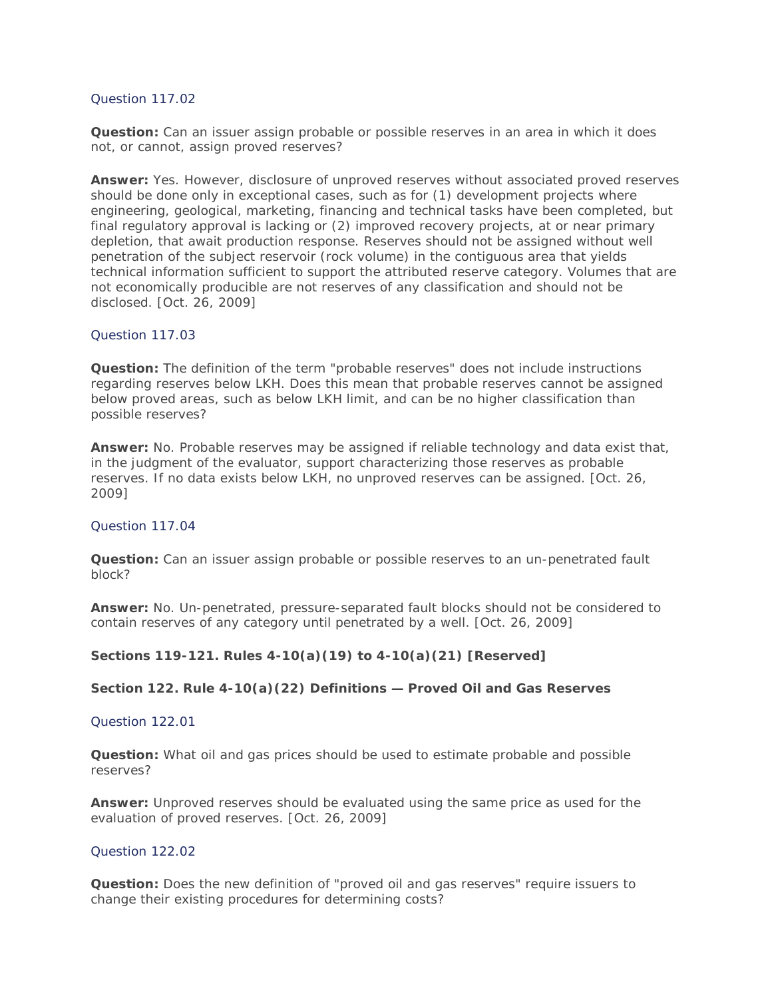## Question 117.02

**Question:** Can an issuer assign probable or possible reserves in an area in which it does not, or cannot, assign proved reserves?

**Answer:** Yes. However, disclosure of unproved reserves without associated proved reserves should be done only in exceptional cases, such as for (1) development projects where engineering, geological, marketing, financing and technical tasks have been completed, but final regulatory approval is lacking or (2) improved recovery projects, at or near primary depletion, that await production response. Reserves should not be assigned without well penetration of the subject reservoir (rock volume) in the contiguous area that yields technical information sufficient to support the attributed reserve category. Volumes that are not economically producible are not reserves of any classification and should not be disclosed. [Oct. 26, 2009]

## Question 117.03

**Question:** The definition of the term "probable reserves" does not include instructions regarding reserves below LKH. Does this mean that probable reserves cannot be assigned below proved areas, such as below LKH limit, and can be no higher classification than possible reserves?

**Answer:** No. Probable reserves may be assigned if reliable technology and data exist that, in the judgment of the evaluator, support characterizing those reserves as probable reserves. If no data exists below LKH, no unproved reserves can be assigned. [Oct. 26, 2009]

### Question 117.04

**Question:** Can an issuer assign probable or possible reserves to an un-penetrated fault block?

**Answer:** No. Un-penetrated, pressure-separated fault blocks should not be considered to contain reserves of any category until penetrated by a well. [Oct. 26, 2009]

## **Sections 119-121. Rules 4-10(a)(19) to 4-10(a)(21) [Reserved]**

### **Section 122. Rule 4-10(a)(22) Definitions — Proved Oil and Gas Reserves**

## Question 122.01

**Question:** What oil and gas prices should be used to estimate probable and possible reserves?

**Answer:** Unproved reserves should be evaluated using the same price as used for the evaluation of proved reserves. [Oct. 26, 2009]

### Question 122.02

**Question:** Does the new definition of "proved oil and gas reserves" require issuers to change their existing procedures for determining costs?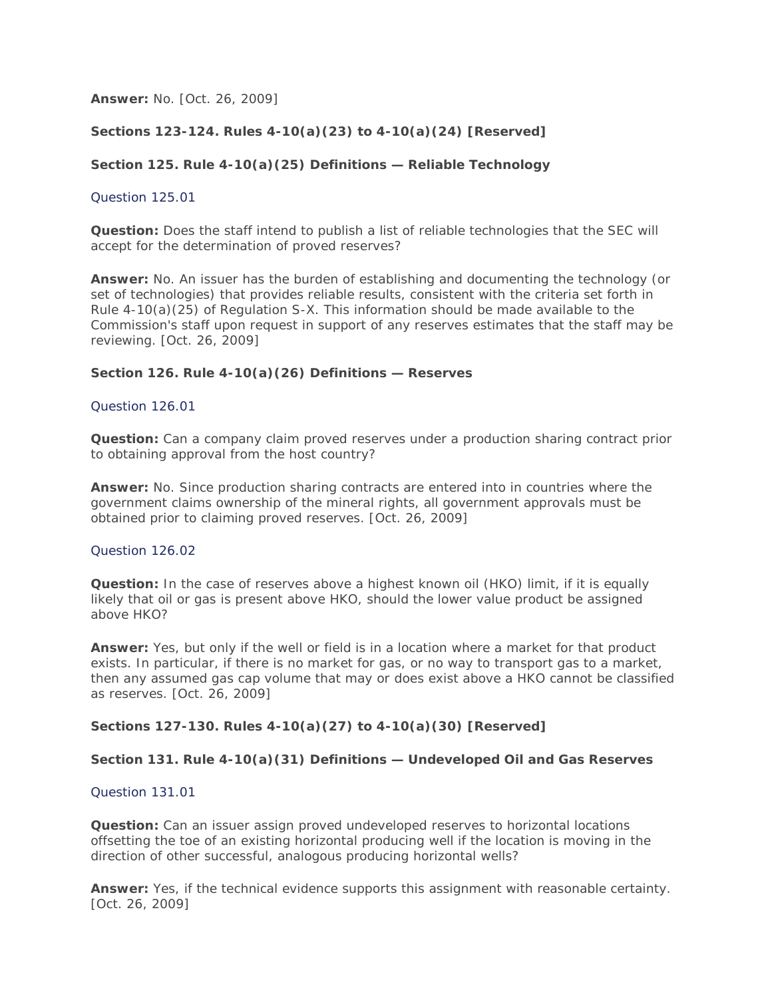**Answer:** No. [Oct. 26, 2009]

## **Sections 123-124. Rules 4-10(a)(23) to 4-10(a)(24) [Reserved]**

## **Section 125. Rule 4-10(a)(25) Definitions — Reliable Technology**

### Question 125.01

**Question:** Does the staff intend to publish a list of reliable technologies that the SEC will accept for the determination of proved reserves?

**Answer:** No. An issuer has the burden of establishing and documenting the technology (or set of technologies) that provides reliable results, consistent with the criteria set forth in Rule 4-10(a)(25) of Regulation S-X. This information should be made available to the Commission's staff upon request in support of any reserves estimates that the staff may be reviewing. [Oct. 26, 2009]

## **Section 126. Rule 4-10(a)(26) Definitions — Reserves**

### Question 126.01

**Question:** Can a company claim proved reserves under a production sharing contract prior to obtaining approval from the host country?

**Answer:** No. Since production sharing contracts are entered into in countries where the government claims ownership of the mineral rights, all government approvals must be obtained prior to claiming proved reserves. [Oct. 26, 2009]

### Question 126.02

**Question:** In the case of reserves above a highest known oil (HKO) limit, if it is equally likely that oil or gas is present above HKO, should the lower value product be assigned above HKO?

**Answer:** Yes, but only if the well or field is in a location where a market for that product exists. In particular, if there is no market for gas, or no way to transport gas to a market, then any assumed gas cap volume that may or does exist above a HKO cannot be classified as reserves. [Oct. 26, 2009]

### **Sections 127-130. Rules 4-10(a)(27) to 4-10(a)(30) [Reserved]**

### **Section 131. Rule 4-10(a)(31) Definitions — Undeveloped Oil and Gas Reserves**

### Question 131.01

**Question:** Can an issuer assign proved undeveloped reserves to horizontal locations offsetting the toe of an existing horizontal producing well if the location is moving in the direction of other successful, analogous producing horizontal wells?

**Answer:** Yes, if the technical evidence supports this assignment with reasonable certainty. [Oct. 26, 2009]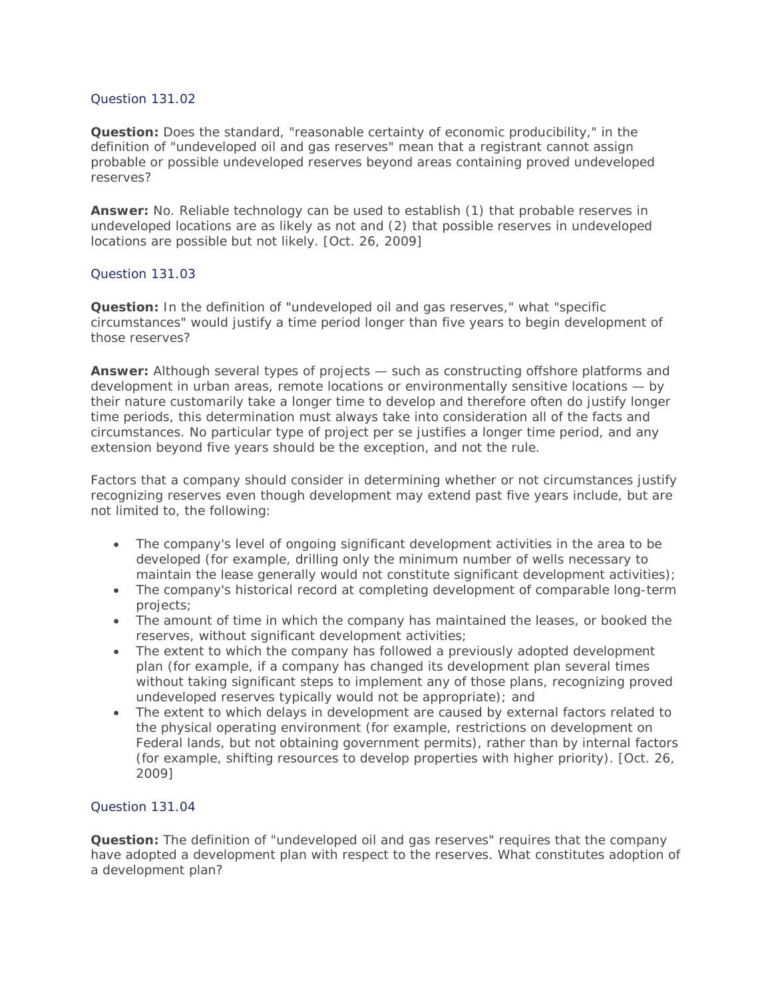## Question 131.02

**Question:** Does the standard, "reasonable certainty of economic producibility," in the definition of "undeveloped oil and gas reserves" mean that a registrant cannot assign probable or possible undeveloped reserves beyond areas containing proved undeveloped reserves?

**Answer:** No. Reliable technology can be used to establish (1) that probable reserves in undeveloped locations are as likely as not and (2) that possible reserves in undeveloped locations are possible but not likely. [Oct. 26, 2009]

## Question 131.03

**Question:** In the definition of "undeveloped oil and gas reserves," what "specific circumstances" would justify a time period longer than five years to begin development of those reserves?

**Answer:** Although several types of projects — such as constructing offshore platforms and development in urban areas, remote locations or environmentally sensitive locations — by their nature customarily take a longer time to develop and therefore often do justify longer time periods, this determination must always take into consideration all of the facts and circumstances. No particular type of project per se justifies a longer time period, and any extension beyond five years should be the exception, and not the rule.

Factors that a company should consider in determining whether or not circumstances justify recognizing reserves even though development may extend past five years include, but are not limited to, the following:

- The company's level of ongoing significant development activities in the area to be developed (for example, drilling only the minimum number of wells necessary to maintain the lease generally would not constitute significant development activities);
- The company's historical record at completing development of comparable long-term projects;
- The amount of time in which the company has maintained the leases, or booked the reserves, without significant development activities;
- The extent to which the company has followed a previously adopted development plan (for example, if a company has changed its development plan several times without taking significant steps to implement any of those plans, recognizing proved undeveloped reserves typically would not be appropriate); and
- The extent to which delays in development are caused by external factors related to the physical operating environment (for example, restrictions on development on Federal lands, but not obtaining government permits), rather than by internal factors (for example, shifting resources to develop properties with higher priority). [Oct. 26, 2009]

### Question 131.04

**Question:** The definition of "undeveloped oil and gas reserves" requires that the company have adopted a development plan with respect to the reserves. What constitutes adoption of a development plan?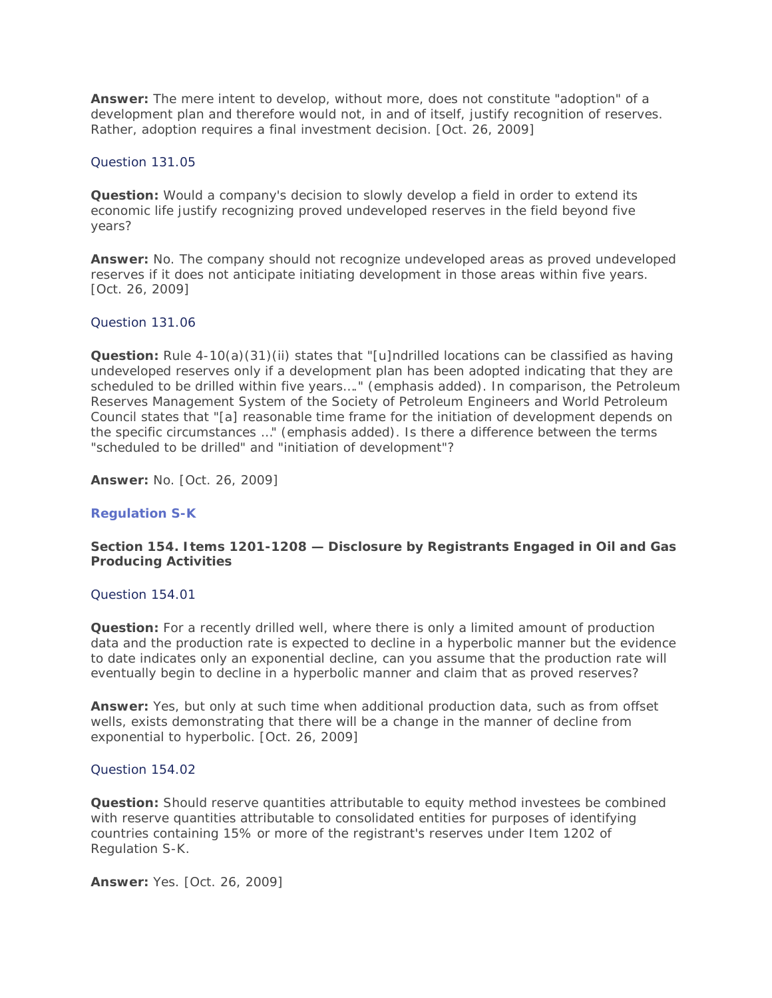**Answer:** The mere intent to develop, without more, does not constitute "adoption" of a development plan and therefore would not, in and of itself, justify recognition of reserves. Rather, adoption requires a final investment decision. [Oct. 26, 2009]

### Question 131.05

**Question:** Would a company's decision to slowly develop a field in order to extend its economic life justify recognizing proved undeveloped reserves in the field beyond five years?

**Answer:** No. The company should not recognize undeveloped areas as proved undeveloped reserves if it does not anticipate initiating development in those areas within five years. [Oct. 26, 2009]

#### Question 131.06

**Question:** Rule 4-10(a)(31)(ii) states that "[u]ndrilled locations can be classified as having undeveloped reserves only if a development plan has been adopted indicating that they are *scheduled to be drilled* within five years…." (emphasis added). In comparison, the Petroleum Reserves Management System of the Society of Petroleum Engineers and World Petroleum Council states that "[a] reasonable time frame for the *initiation of development* depends on the specific circumstances …" (emphasis added). Is there a difference between the terms "scheduled to be drilled" and "initiation of development"?

**Answer:** No. [Oct. 26, 2009]

### **Regulation S-K**

## **Section 154. Items 1201-1208 — Disclosure by Registrants Engaged in Oil and Gas Producing Activities**

#### Question 154.01

**Question:** For a recently drilled well, where there is only a limited amount of production data and the production rate is expected to decline in a hyperbolic manner but the evidence to date indicates only an exponential decline, can you assume that the production rate will eventually begin to decline in a hyperbolic manner and claim that as proved reserves?

**Answer:** Yes, but only at such time when additional production data, such as from offset wells, exists demonstrating that there will be a change in the manner of decline from exponential to hyperbolic. [Oct. 26, 2009]

### Question 154.02

**Question:** Should reserve quantities attributable to equity method investees be combined with reserve quantities attributable to consolidated entities for purposes of identifying countries containing 15% or more of the registrant's reserves under Item 1202 of Regulation S-K.

**Answer:** Yes. [Oct. 26, 2009]